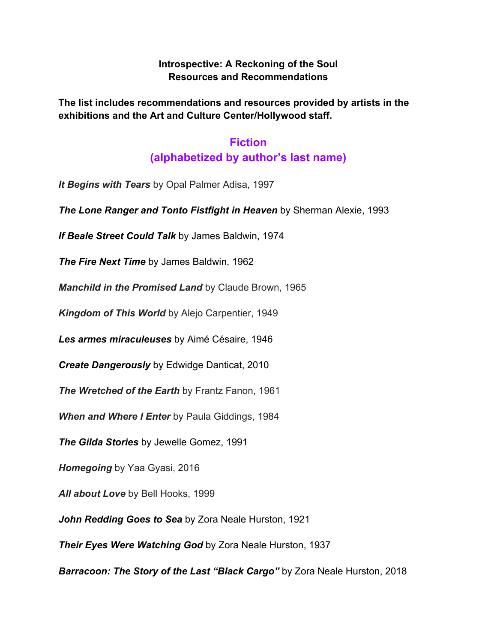#### **Introspective: A Reckoning of the Soul Resources and Recommendations**

**The list includes recommendations and resources provided by artists in the exhibitions and the Art and Culture Center/Hollywood staff.**

# **Fiction (alphabetized by author's last name)**

*It Begins with Tears* by Opal Palmer Adisa, 1997

*The Lone Ranger and Tonto Fistfight in Heaven* by Sherman Alexie, 1993

*If Beale Street Could Talk* by James Baldwin, 1974

*The Fire Next Time* by James Baldwin, 1962

*Manchild in the Promised Land* by Claude Brown, 1965

*Kingdom of This World* by Alejo Carpentier, 1949

*Les armes miraculeuses* by Aimé Césaire, 1946

*Create Dangerously* by Edwidge Danticat, 2010

*The Wretched of the Earth* by Frantz Fanon, 1961

*When and Where I Enter* by Paula Giddings, 1984

*The Gilda Stories* by Jewelle Gomez, 1991

*Homegoing* by Yaa Gyasi, 2016

*All about Love* by Bell Hooks, 1999

*John Redding Goes to Sea* by Zora Neale Hurston, 1921

*Their Eyes Were Watching God* by Zora Neale Hurston, 1937

*Barracoon: The Story of the Last "Black Cargo"* by Zora Neale Hurston, 2018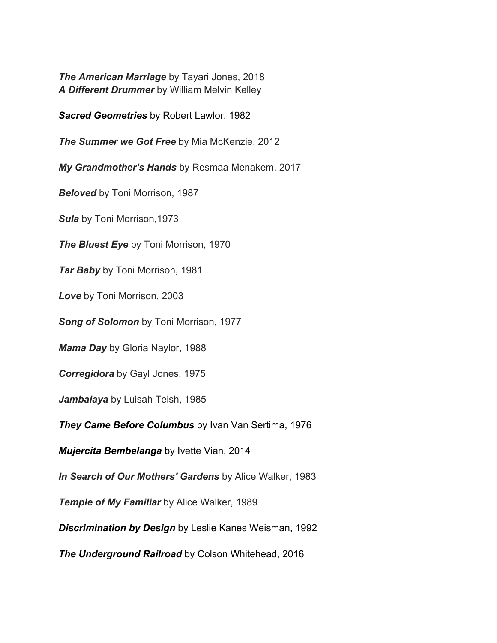*The American Marriage* by Tayari Jones, 2018 *A Different Drummer* by William Melvin Kelley

*Sacred Geometries* by Robert Lawlor, 1982

*The Summer we Got Free* by Mia McKenzie, 2012

*My Grandmother's Hands* by Resmaa Menakem, 2017

*Beloved* by Toni Morrison, 1987

*Sula* by Toni Morrison,1973

*The Bluest Eye* by Toni Morrison, 1970

*Tar Baby* by Toni Morrison, 1981

*Love* by Toni Morrison, 2003

*Song of Solomon* by Toni Morrison, 1977

*Mama Day* by Gloria Naylor, 1988

*Corregidora* by Gayl Jones, 1975

*Jambalaya* by Luisah Teish, 1985

*They Came Before Columbus* by Ivan Van Sertima, 1976

*Mujercita Bembelanga* by Ivette Vian, 2014

*In Search of Our Mothers' Gardens* by Alice Walker, 1983

*Temple of My Familiar* by Alice Walker, 1989

*Discrimination by Design* by Leslie Kanes Weisman, 1992

*The Underground Railroad* by Colson Whitehead, 2016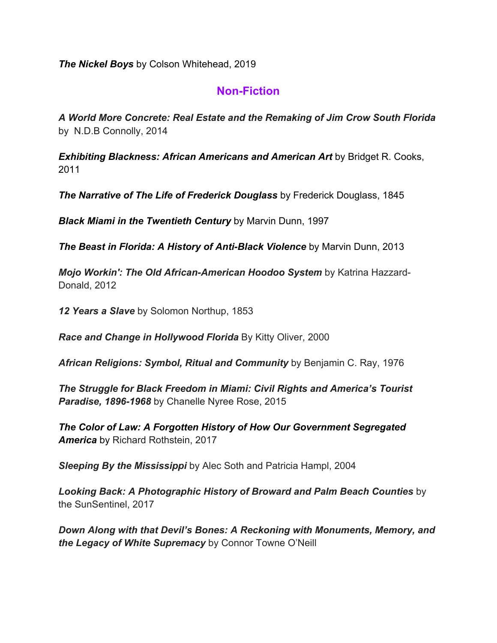*The Nickel Boys* by Colson Whitehead, 2019

# **Non-Fiction**

*A World More Concrete: Real Estate and the Remaking of Jim Crow South Florida* by N.D.B Connolly, 2014

*Exhibiting Blackness: African Americans and American Art* by Bridget R. Cooks, 2011

*The Narrative of The Life of Frederick Douglass* by Frederick Douglass, 1845

*Black Miami in the Twentieth Century* by Marvin Dunn, 1997

*The Beast in Florida: A History of Anti-Black Violence* by Marvin Dunn, 2013

*Mojo Workin': The Old African-American Hoodoo System* by Katrina Hazzard-Donald, 2012

*12 Years a Slave* by Solomon Northup, 1853

*Race and Change in Hollywood Florida* By Kitty Oliver, 2000

*African Religions: Symbol, Ritual and Community* by Benjamin C. Ray, 1976

*The Struggle for Black Freedom in Miami: Civil Rights and America's Tourist Paradise, 1896-1968* by Chanelle Nyree Rose, 2015

*The Color of Law: A Forgotten History of How Our Government Segregated America* by Richard Rothstein, 2017

*Sleeping By the Mississippi* by Alec Soth and Patricia Hampl, 2004

*Looking Back: A Photographic History of Broward and Palm Beach Counties* by the SunSentinel, 2017

*Down Along with that Devil's Bones: A Reckoning with Monuments, Memory, and the Legacy of White Supremacy* by Connor Towne O'Neill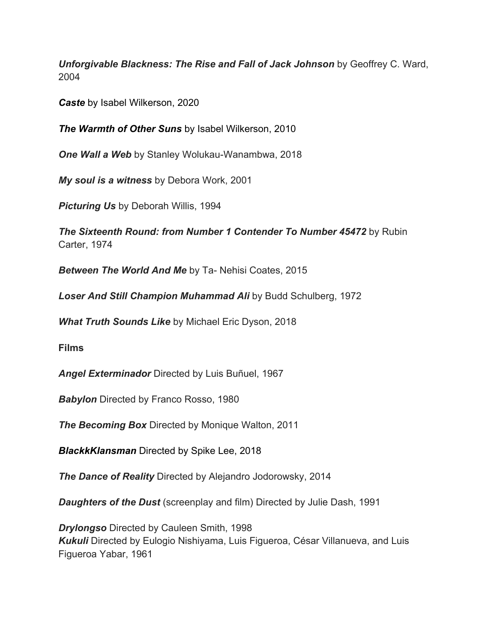*Unforgivable Blackness: The Rise and Fall of Jack Johnson* by Geoffrey C. Ward, 2004

*Caste* by Isabel Wilkerson, 2020

*The Warmth of Other Suns* by Isabel Wilkerson, 2010

*One Wall a Web* by Stanley Wolukau-Wanambwa, 2018

*My soul is a witness* by Debora Work, 2001

*Picturing Us* by Deborah Willis, 1994

*The Sixteenth Round: from Number 1 Contender To Number 45472* by Rubin Carter, 1974

*Between The World And Me* by Ta- Nehisi Coates, 2015

*Loser And Still Champion Muhammad Ali* by Budd Schulberg, 1972

*What Truth Sounds Like* by Michael Eric Dyson, 2018

**Films**

*Angel Exterminador* Directed by Luis Buñuel, 1967

*Babylon* Directed by Franco Rosso, 1980

*The Becoming Box* Directed by Monique Walton, 2011

*BlackkKlansman* Directed by Spike Lee, 2018

*The Dance of Reality* Directed by Alejandro Jodorowsky, 2014

*Daughters of the Dust* (screenplay and film) Directed by Julie Dash, 1991

*Drylongso* Directed by Cauleen Smith, 1998 *Kukuli* Directed by Eulogio Nishiyama, Luis Figueroa, César Villanueva, and Luis Figueroa Yabar, 1961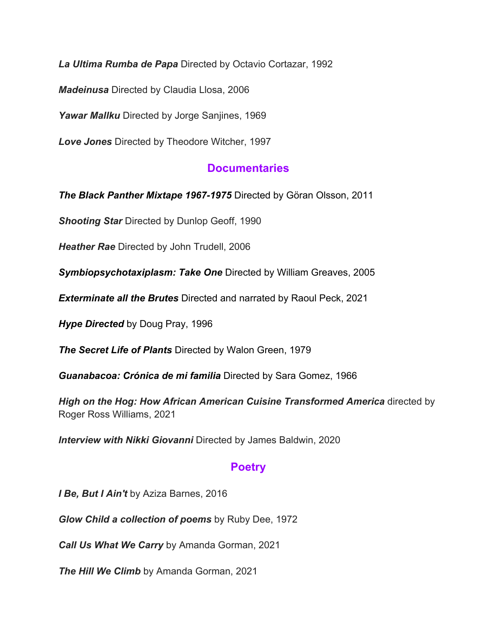*La Ultima Rumba de Papa* Directed by Octavio Cortazar, 1992

*Madeinusa* Directed by Claudia Llosa, 2006

*Yawar Mallku* Directed by Jorge Sanjines, 1969

*Love Jones* Directed by Theodore Witcher, 1997

### **Documentaries**

*The Black Panther Mixtape 1967-1975* Directed by Göran Olsson, 2011

*Shooting Star* Directed by Dunlop Geoff, 1990

*Heather Rae* Directed by John Trudell, 2006

*Symbiopsychotaxiplasm: Take One* Directed by William Greaves, 2005

*Exterminate all the Brutes* Directed and narrated by Raoul Peck, 2021

*Hype Directed* by Doug Pray, 1996

*The Secret Life of Plants* Directed by Walon Green, 1979

*Guanabacoa: Crónica de mi familia* Directed by Sara Gomez, 1966

*High on the Hog: How African American Cuisine Transformed America* directed by Roger Ross Williams, 2021

*Interview with Nikki Giovanni* Directed by James Baldwin, 2020

# **Poetry**

*I Be, But I Ain't* by Aziza Barnes, 2016

*Glow Child a collection of poems* by Ruby Dee, 1972

*Call Us What We Carry* by Amanda Gorman, 2021

*The Hill We Climb* by Amanda Gorman, 2021